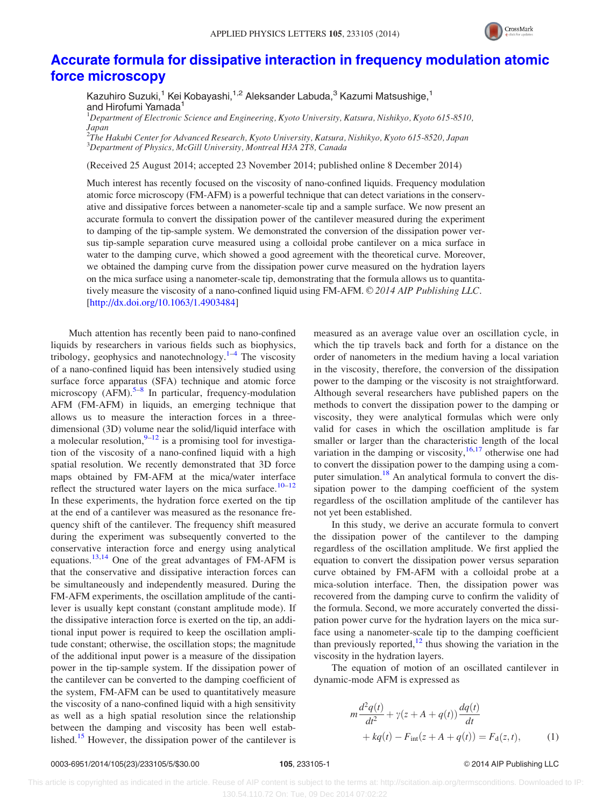

## <span id="page-0-0"></span>[Accurate formula for dissipative interaction in frequency modulation atomic](http://dx.doi.org/10.1063/1.4903484) [force microscopy](http://dx.doi.org/10.1063/1.4903484)

Kazuhiro Suzuki,<sup>1</sup> Kei Kobayashi,<sup>1,2</sup> Aleksander Labuda,<sup>3</sup> Kazumi Matsushige.<sup>1</sup> and Hirofumi Yamada<sup>1</sup>

<sup>1</sup>Department of Electronic Science and Engineering, Kyoto University, Katsura, Nishikyo, Kyoto 615-8510, Japan 2 The Hakubi Center for Advanced Research, Kyoto University, Katsura, Nishikyo, Kyoto 615-8520, Japan

<sup>3</sup>Department of Physics, McGill University, Montreal H3A 2T8, Canada

(Received 25 August 2014; accepted 23 November 2014; published online 8 December 2014)

Much interest has recently focused on the viscosity of nano-confined liquids. Frequency modulation atomic force microscopy (FM-AFM) is a powerful technique that can detect variations in the conservative and dissipative forces between a nanometer-scale tip and a sample surface. We now present an accurate formula to convert the dissipation power of the cantilever measured during the experiment to damping of the tip-sample system. We demonstrated the conversion of the dissipation power versus tip-sample separation curve measured using a colloidal probe cantilever on a mica surface in water to the damping curve, which showed a good agreement with the theoretical curve. Moreover, we obtained the damping curve from the dissipation power curve measured on the hydration layers on the mica surface using a nanometer-scale tip, demonstrating that the formula allows us to quantitatively measure the viscosity of a nano-confined liquid using  $FM-AFM$ .  $\odot$  2014 AIP Publishing LLC. [\[http://dx.doi.org/10.1063/1.4903484](http://dx.doi.org/10.1063/1.4903484)]

Much attention has recently been paid to nano-confined liquids by researchers in various fields such as biophysics, tribology, geophysics and nanotechnology.<sup>[1–4](#page-4-0)</sup> The viscosity of a nano-confined liquid has been intensively studied using surface force apparatus (SFA) technique and atomic force microscopy  $(AFM).<sup>5-8</sup>$  In particular, frequency-modulation AFM (FM-AFM) in liquids, an emerging technique that allows us to measure the interaction forces in a threedimensional (3D) volume near the solid/liquid interface with a molecular resolution, $9-12$  is a promising tool for investigation of the viscosity of a nano-confined liquid with a high spatial resolution. We recently demonstrated that 3D force maps obtained by FM-AFM at the mica/water interface reflect the structured water layers on the mica surface.<sup>[10–12](#page-4-0)</sup> In these experiments, the hydration force exerted on the tip at the end of a cantilever was measured as the resonance frequency shift of the cantilever. The frequency shift measured during the experiment was subsequently converted to the conservative interaction force and energy using analytical equations.<sup>[13,14](#page-4-0)</sup> One of the great advantages of  $FM-AFM$  is that the conservative and dissipative interaction forces can be simultaneously and independently measured. During the FM-AFM experiments, the oscillation amplitude of the cantilever is usually kept constant (constant amplitude mode). If the dissipative interaction force is exerted on the tip, an additional input power is required to keep the oscillation amplitude constant; otherwise, the oscillation stops; the magnitude of the additional input power is a measure of the dissipation power in the tip-sample system. If the dissipation power of the cantilever can be converted to the damping coefficient of the system, FM-AFM can be used to quantitatively measure the viscosity of a nano-confined liquid with a high sensitivity as well as a high spatial resolution since the relationship between the damping and viscosity has been well estab-lished.<sup>[15](#page-4-0)</sup> However, the dissipation power of the cantilever is

measured as an average value over an oscillation cycle, in which the tip travels back and forth for a distance on the order of nanometers in the medium having a local variation in the viscosity, therefore, the conversion of the dissipation power to the damping or the viscosity is not straightforward. Although several researchers have published papers on the methods to convert the dissipation power to the damping or viscosity, they were analytical formulas which were only valid for cases in which the oscillation amplitude is far smaller or larger than the characteristic length of the local variation in the damping or viscosity, $16,17$  otherwise one had to convert the dissipation power to the damping using a com-puter simulation.<sup>[18](#page-4-0)</sup> An analytical formula to convert the dissipation power to the damping coefficient of the system regardless of the oscillation amplitude of the cantilever has not yet been established.

In this study, we derive an accurate formula to convert the dissipation power of the cantilever to the damping regardless of the oscillation amplitude. We first applied the equation to convert the dissipation power versus separation curve obtained by FM-AFM with a colloidal probe at a mica-solution interface. Then, the dissipation power was recovered from the damping curve to confirm the validity of the formula. Second, we more accurately converted the dissipation power curve for the hydration layers on the mica surface using a nanometer-scale tip to the damping coefficient than previously reported, $12$  thus showing the variation in the viscosity in the hydration layers.

The equation of motion of an oscillated cantilever in dynamic-mode AFM is expressed as

$$
m\frac{d^{2}q(t)}{dt^{2}} + \gamma(z + A + q(t))\frac{dq(t)}{dt} + kq(t) - F_{\text{int}}(z + A + q(t)) = F_{\text{d}}(z, t),
$$
 (1)

 This article is copyrighted as indicated in the article. Reuse of AIP content is subject to the terms at: http://scitation.aip.org/termsconditions. Downloaded to IP: 130.54.110.72 On: Tue, 09 Dec 2014 07:02:22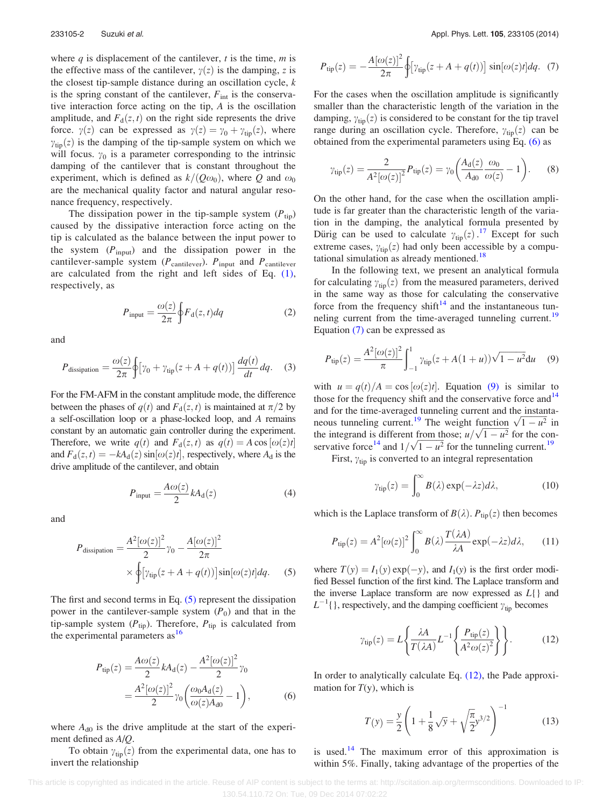<span id="page-1-0"></span>where  $q$  is displacement of the cantilever,  $t$  is the time,  $m$  is the effective mass of the cantilever,  $\gamma(z)$  is the damping, z is the closest tip-sample distance during an oscillation cycle,  $k$ is the spring constant of the cantilever,  $F_{int}$  is the conservative interaction force acting on the tip, A is the oscillation amplitude, and  $F_d(z, t)$  on the right side represents the drive force.  $\gamma(z)$  can be expressed as  $\gamma(z) = \gamma_0 + \gamma_{tip}(z)$ , where  $\gamma_{\text{tip}}(z)$  is the damping of the tip-sample system on which we will focus.  $\gamma_0$  is a parameter corresponding to the intrinsic damping of the cantilever that is constant throughout the experiment, which is defined as  $k/(Q\omega_0)$ , where Q and  $\omega_0$ are the mechanical quality factor and natural angular resonance frequency, respectively.

The dissipation power in the tip-sample system  $(P_{\text{tip}})$ caused by the dissipative interaction force acting on the tip is calculated as the balance between the input power to the system  $(P_{input})$  and the dissipation power in the cantilever-sample system ( $P_{\text{cantilever}}$ ).  $P_{\text{input}}$  and  $P_{\text{cantilever}}$ are calculated from the right and left sides of Eq. [\(1\)](#page-0-0), respectively, as

$$
P_{\text{input}} = \frac{\omega(z)}{2\pi} \oint F_{\text{d}}(z, t) dq \tag{2}
$$

and

$$
P_{\text{dissipation}} = \frac{\omega(z)}{2\pi} \oint \left[ \gamma_0 + \gamma_{\text{tip}}(z + A + q(t)) \right] \frac{dq(t)}{dt} dq. \tag{3}
$$

For the FM-AFM in the constant amplitude mode, the difference between the phases of  $q(t)$  and  $F_d(z, t)$  is maintained at  $\pi/2$  by a self-oscillation loop or a phase-locked loop, and A remains constant by an automatic gain controller during the experiment. Therefore, we write  $q(t)$  and  $F_d(z,t)$  as  $q(t) = A \cos |\omega(z)t|$ and  $F_d(z, t) = -kA_d(z) \sin[\omega(z)t]$ , respectively, where  $A_d$  is the drive amplitude of the cantilever, and obtain

$$
P_{\text{input}} = \frac{A\omega(z)}{2} k A_{\text{d}}(z) \tag{4}
$$

and

$$
P_{\text{dissipation}} = \frac{A^2[\omega(z)]^2}{2} \gamma_0 - \frac{A[\omega(z)]^2}{2\pi}
$$

$$
\times \oint [\gamma_{\text{tip}}(z + A + q(t))] \sin[\omega(z)t] dq. \tag{5}
$$

The first and second terms in Eq.  $(5)$  represent the dissipation power in the cantilever-sample system  $(P_0)$  and that in the tip-sample system  $(P_{tip})$ . Therefore,  $P_{tip}$  is calculated from the experimental parameters  $as<sup>16</sup>$  $as<sup>16</sup>$  $as<sup>16</sup>$ 

$$
P_{\text{tip}}(z) = \frac{A\omega(z)}{2} k A_{\text{d}}(z) - \frac{A^2[\omega(z)]^2}{2} \gamma_0
$$
  
= 
$$
\frac{A^2[\omega(z)]^2}{2} \gamma_0 \left(\frac{\omega_0 A_{\text{d}}(z)}{\omega(z) A_{\text{d}}(z)} - 1\right),
$$
 (6)

where  $A_{d0}$  is the drive amplitude at the start of the experiment defined as A/Q.

To obtain  $\gamma_{\text{tip}}(z)$  from the experimental data, one has to invert the relationship

$$
P_{\text{tip}}(z) = -\frac{A[\omega(z)]^2}{2\pi} \oint \left[ \gamma_{\text{tip}}(z + A + q(t)) \right] \sin[\omega(z)t] dq. \tag{7}
$$

For the cases when the oscillation amplitude is significantly smaller than the characteristic length of the variation in the damping,  $\gamma_{\text{tin}}(z)$  is considered to be constant for the tip travel range during an oscillation cycle. Therefore,  $\gamma_{\text{tip}}(z)$  can be obtained from the experimental parameters using Eq. (6) as

$$
\gamma_{\text{tip}}(z) = \frac{2}{A^2[\omega(z)]^2} P_{\text{tip}}(z) = \gamma_0 \left( \frac{A_d(z)}{A_{d0}} \frac{\omega_0}{\omega(z)} - 1 \right). \tag{8}
$$

On the other hand, for the case when the oscillation amplitude is far greater than the characteristic length of the variation in the damping, the analytical formula presented by Dürig can be used to calculate  $\gamma_{\text{tip}}(z)$ .<sup>[17](#page-4-0)</sup> Except for such extreme cases,  $\gamma_{\text{tip}}(z)$  had only been accessible by a compu-tational simulation as already mentioned.<sup>[18](#page-4-0)</sup>

In the following text, we present an analytical formula for calculating  $\gamma_{\text{tip}}(z)$  from the measured parameters, derived in the same way as those for calculating the conservative force from the frequency shift<sup>[14](#page-4-0)</sup> and the instantaneous tun-neling current from the time-averaged tunneling current.<sup>[19](#page-4-0)</sup> Equation (7) can be expressed as

$$
P_{\text{tip}}(z) = \frac{A^2[\omega(z)]^2}{\pi} \int_{-1}^{1} \gamma_{\text{tip}}(z + A(1+u))\sqrt{1-u^2} \, \mathrm{d}u \tag{9}
$$

with  $u = q(t)/A = \cos[\omega(z)t]$ . Equation (9) is similar to those for the frequency shift and the conservative force and <sup>[14](#page-4-0)</sup> and for the time-averaged tunneling current and the instanta-and for the time-averaged tunneling current and the instanta-<br>neous tunneling current.<sup>[19](#page-4-0)</sup> The weight function  $\sqrt{1 - u^2}$  in the integrand is different from those;  $u/\sqrt{1 - u^2}$  for the conthe integrand is different from those;  $u/v_1 - u^2$  for the conservative force<sup>[14](#page-4-0)</sup> and  $1/\sqrt{1 - u^2}$  for the tunneling current.<sup>[19](#page-4-0)</sup>

First,  $\gamma_{\text{tip}}$  is converted to an integral representation

$$
\gamma_{\text{tip}}(z) = \int_0^\infty B(\lambda) \exp(-\lambda z) d\lambda, \tag{10}
$$

which is the Laplace transform of  $B(\lambda)$ .  $P_{\text{tip}}(z)$  then becomes

$$
P_{\text{tip}}(z) = A^2 [\omega(z)]^2 \int_0^\infty B(\lambda) \frac{T(\lambda A)}{\lambda A} \exp(-\lambda z) d\lambda, \qquad (11)
$$

where  $T(y) = I_1(y) \exp(-y)$ , and  $I_1(y)$  is the first order modified Bessel function of the first kind. The Laplace transform and the inverse Laplace transform are now expressed as  $L\{\}$  and  $L^{-1}$ { }, respectively, and the damping coefficient  $\gamma_{\text{tip}}$  becomes

$$
\gamma_{\text{tip}}(z) = L \left\{ \frac{\lambda A}{T(\lambda A)} L^{-1} \left\{ \frac{P_{\text{tip}}(z)}{A^2 \omega(z)^2} \right\} \right\}.
$$
 (12)

In order to analytically calculate Eq. (12), the Pade approximation for  $T(y)$ , which is

$$
T(y) = \frac{y}{2} \left( 1 + \frac{1}{8} \sqrt{y} + \sqrt{\frac{\pi}{2}} y^{3/2} \right)^{-1}
$$
 (13)

is used.<sup>[14](#page-4-0)</sup> The maximum error of this approximation is within 5%. Finally, taking advantage of the properties of the

This article is copyrighted as indicated in the article. Reuse of AIP content is subject to the terms at: http://scitation.aip.org/termsconditions. Downloaded to IP: 130.54.110.72 On: Tue, 09 Dec 2014 07:02:22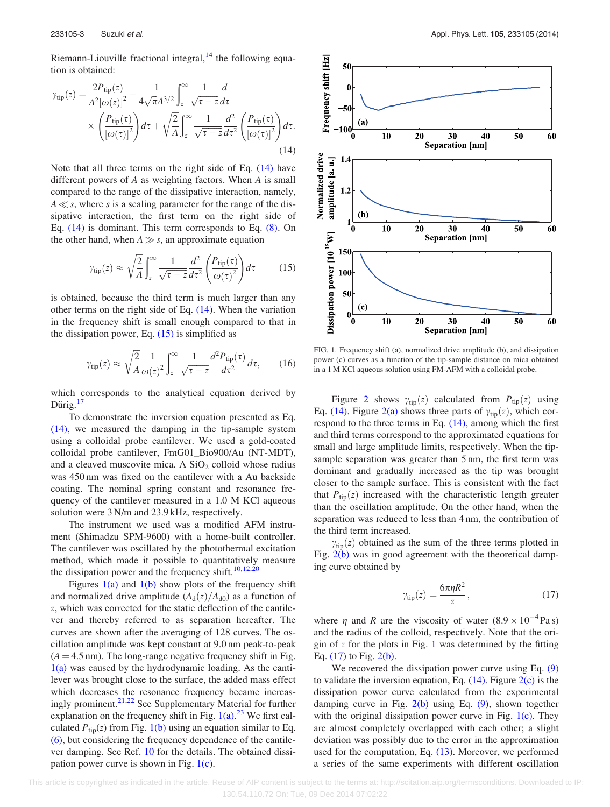<span id="page-2-0"></span>Riemann-Liouville fractional integral, $^{14}$  $^{14}$  $^{14}$  the following equation is obtained:

$$
\gamma_{\text{tip}}(z) = \frac{2P_{\text{tip}}(z)}{A^2[\omega(z)]^2} - \frac{1}{4\sqrt{\pi}A^{3/2}} \int_z^{\infty} \frac{1}{\sqrt{\tau - z}} \frac{d}{d\tau}
$$

$$
\times \left(\frac{P_{\text{tip}}(\tau)}{[\omega(\tau)]^2}\right) d\tau + \sqrt{\frac{2}{A}} \int_z^{\infty} \frac{1}{\sqrt{\tau - z}} \frac{d^2}{d\tau^2} \left(\frac{P_{\text{tip}}(\tau)}{[\omega(\tau)]^2}\right) d\tau.
$$
(14)

Note that all three terms on the right side of Eq. (14) have different powers of A as weighting factors. When A is small compared to the range of the dissipative interaction, namely,  $A \ll s$ , where s is a scaling parameter for the range of the dissipative interaction, the first term on the right side of Eq. (14) is dominant. This term corresponds to Eq. [\(8\).](#page-1-0) On the other hand, when  $A \gg s$ , an approximate equation

$$
\gamma_{\text{tip}}(z) \approx \sqrt{\frac{2}{A}} \int_{z}^{\infty} \frac{1}{\sqrt{\tau - z}} \frac{d^2}{d\tau^2} \left( \frac{P_{\text{tip}}(\tau)}{\omega(\tau)^2} \right) d\tau \tag{15}
$$

is obtained, because the third term is much larger than any other terms on the right side of Eq.  $(14)$ . When the variation in the frequency shift is small enough compared to that in the dissipation power, Eq.  $(15)$  is simplified as

$$
\gamma_{\text{tip}}(z) \approx \sqrt{\frac{2}{A}} \frac{1}{\omega(z)^2} \int_z^{\infty} \frac{1}{\sqrt{\tau - z}} \frac{d^2 P_{\text{tip}}(\tau)}{d\tau^2} d\tau, \qquad (16)
$$

which corresponds to the analytical equation derived by Dürig. $17$ 

To demonstrate the inversion equation presented as Eq. (14), we measured the damping in the tip-sample system using a colloidal probe cantilever. We used a gold-coated colloidal probe cantilever, FmG01\_Bio900/Au (NT-MDT), and a cleaved muscovite mica. A  $SiO<sub>2</sub>$  colloid whose radius was 450 nm was fixed on the cantilever with a Au backside coating. The nominal spring constant and resonance frequency of the cantilever measured in a 1.0 M KCl aqueous solution were 3 N/m and 23.9 kHz, respectively.

The instrument we used was a modified AFM instrument (Shimadzu SPM-9600) with a home-built controller. The cantilever was oscillated by the photothermal excitation method, which made it possible to quantitatively measure the dissipation power and the frequency shift.<sup>[10,12,20](#page-4-0)</sup>

Figures  $1(a)$  and  $1(b)$  show plots of the frequency shift and normalized drive amplitude  $(A_d(z)/A_{d0})$  as a function of z, which was corrected for the static deflection of the cantilever and thereby referred to as separation hereafter. The curves are shown after the averaging of 128 curves. The oscillation amplitude was kept constant at 9.0 nm peak-to-peak  $(A = 4.5 \text{ nm})$ . The long-range negative frequency shift in Fig. 1(a) was caused by the hydrodynamic loading. As the cantilever was brought close to the surface, the added mass effect which decreases the resonance frequency became increas-ingly prominent.<sup>[21,22](#page-4-0)</sup> See Supplementary Material for further explanation on the frequency shift in Fig.  $1(a)$ <sup>[23](#page-4-0)</sup> We first calculated  $P_{\text{tip}}(z)$  from Fig. 1(b) using an equation similar to Eq. [\(6\),](#page-1-0) but considering the frequency dependence of the cantilever damping. See Ref. [10](#page-4-0) for the details. The obtained dissipation power curve is shown in Fig.  $1(c)$ .



FIG. 1. Frequency shift (a), normalized drive amplitude (b), and dissipation power (c) curves as a function of the tip-sample distance on mica obtained in a 1 M KCl aqueous solution using FM-AFM with a colloidal probe.

Figure [2](#page-3-0) shows  $\gamma_{tip}(z)$  calculated from  $P_{tip}(z)$  using Eq. (14). Figure [2\(a\)](#page-3-0) shows three parts of  $\gamma_{\text{tip}}(z)$ , which correspond to the three terms in Eq. (14), among which the first and third terms correspond to the approximated equations for small and large amplitude limits, respectively. When the tipsample separation was greater than 5 nm, the first term was dominant and gradually increased as the tip was brought closer to the sample surface. This is consistent with the fact that  $P_{\text{tip}}(z)$  increased with the characteristic length greater than the oscillation amplitude. On the other hand, when the separation was reduced to less than 4 nm, the contribution of the third term increased.

 $\gamma_{\text{tip}}(z)$  obtained as the sum of the three terms plotted in Fig. [2\(b\)](#page-3-0) was in good agreement with the theoretical damping curve obtained by

$$
\gamma_{\text{tip}}(z) = \frac{6\pi\eta R^2}{z},\tag{17}
$$

where  $\eta$  and R are the viscosity of water  $(8.9 \times 10^{-4} \text{Pa s})$ and the radius of the colloid, respectively. Note that the origin of  $z$  for the plots in Fig. 1 was determined by the fitting Eq.  $(17)$  to Fig.  $2(b)$ .

We recovered the dissipation power curve using Eq.  $(9)$ to validate the inversion equation, Eq.  $(14)$ . Figure  $2(c)$  is the dissipation power curve calculated from the experimental damping curve in Fig. [2\(b\)](#page-3-0) using Eq. [\(9\),](#page-1-0) shown together with the original dissipation power curve in Fig.  $1(c)$ . They are almost completely overlapped with each other; a slight deviation was possibly due to the error in the approximation used for the computation, Eq. [\(13\).](#page-1-0) Moreover, we performed a series of the same experiments with different oscillation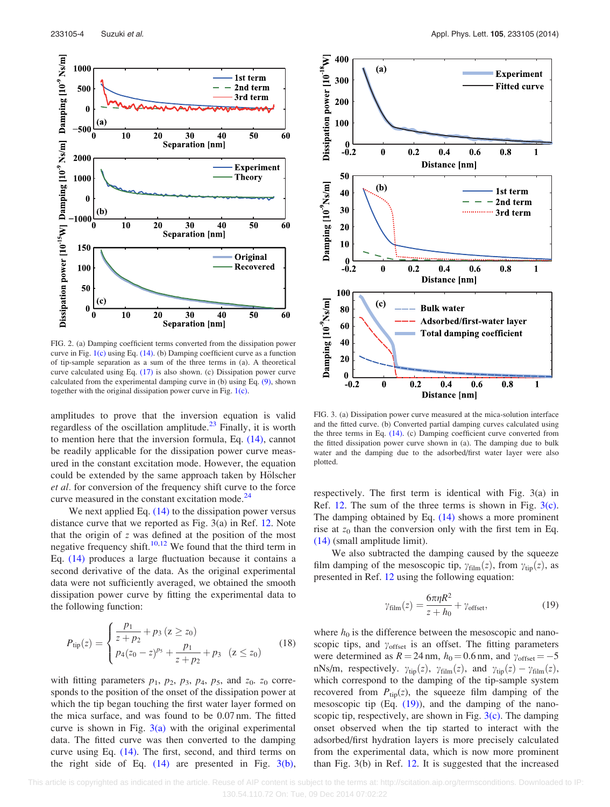<span id="page-3-0"></span>

FIG. 2. (a) Damping coefficient terms converted from the dissipation power curve in Fig.  $1(c)$  using Eq.  $(14)$ . (b) Damping coefficient curve as a function of tip-sample separation as a sum of the three terms in (a). A theoretical curve calculated using Eq. [\(17\)](#page-2-0) is also shown. (c) Dissipation power curve calculated from the experimental damping curve in (b) using Eq. [\(9\),](#page-1-0) shown together with the original dissipation power curve in Fig. [1\(c\)](#page-2-0).

amplitudes to prove that the inversion equation is valid regardless of the oscillation amplitude.<sup>[23](#page-4-0)</sup> Finally, it is worth to mention here that the inversion formula, Eq. [\(14\)](#page-2-0), cannot be readily applicable for the dissipation power curve measured in the constant excitation mode. However, the equation could be extended by the same approach taken by Hölscher et al. for conversion of the frequency shift curve to the force curve measured in the constant excitation mode. $24$ 

We next applied Eq.  $(14)$  to the dissipation power versus distance curve that we reported as Fig. 3(a) in Ref. [12.](#page-4-0) Note that the origin of z was defined at the position of the most negative frequency shift.<sup>[10,12](#page-4-0)</sup> We found that the third term in Eq. [\(14\)](#page-2-0) produces a large fluctuation because it contains a second derivative of the data. As the original experimental data were not sufficiently averaged, we obtained the smooth dissipation power curve by fitting the experimental data to the following function:

$$
P_{\text{tip}}(z) = \begin{cases} \frac{p_1}{z + p_2} + p_3 \ (z \ge z_0) \\ p_4(z_0 - z)^{p_5} + \frac{p_1}{z + p_2} + p_3 \ (z \le z_0) \end{cases} \tag{18}
$$

with fitting parameters  $p_1$ ,  $p_2$ ,  $p_3$ ,  $p_4$ ,  $p_5$ , and  $z_0$ .  $z_0$  corresponds to the position of the onset of the dissipation power at which the tip began touching the first water layer formed on the mica surface, and was found to be 0.07 nm. The fitted curve is shown in Fig.  $3(a)$  with the original experimental data. The fitted curve was then converted to the damping curve using Eq. [\(14\)](#page-2-0). The first, second, and third terms on the right side of Eq.  $(14)$  are presented in Fig.  $3(b)$ ,



FIG. 3. (a) Dissipation power curve measured at the mica-solution interface and the fitted curve. (b) Converted partial damping curves calculated using the three terms in Eq. [\(14\).](#page-2-0) (c) Damping coefficient curve converted from the fitted dissipation power curve shown in (a). The damping due to bulk water and the damping due to the adsorbed/first water layer were also plotted.

respectively. The first term is identical with Fig. 3(a) in Ref. [12.](#page-4-0) The sum of the three terms is shown in Fig. 3(c). The damping obtained by Eq. [\(14\)](#page-2-0) shows a more prominent rise at  $z_0$  than the conversion only with the first tem in Eq. [\(14\)](#page-2-0) (small amplitude limit).

We also subtracted the damping caused by the squeeze film damping of the mesoscopic tip,  $\gamma_{\text{film}}(z)$ , from  $\gamma_{\text{tip}}(z)$ , as presented in Ref. [12](#page-4-0) using the following equation:

$$
\gamma_{\text{film}}(z) = \frac{6\pi\eta R^2}{z + h_0} + \gamma_{\text{offset}},\tag{19}
$$

where  $h_0$  is the difference between the mesoscopic and nanoscopic tips, and  $\gamma_{\text{offset}}$  is an offset. The fitting parameters were determined as  $R = 24$  nm,  $h_0 = 0.6$  nm, and  $\gamma_{offset} = -5$ nNs/m, respectively.  $\gamma_{tip}(z)$ ,  $\gamma_{film}(z)$ , and  $\gamma_{tip}(z) - \gamma_{film}(z)$ , which correspond to the damping of the tip-sample system recovered from  $P_{\text{tip}}(z)$ , the squeeze film damping of the mesoscopic tip  $(Eq. (19))$ , and the damping of the nanoscopic tip, respectively, are shown in Fig.  $3(c)$ . The damping onset observed when the tip started to interact with the adsorbed/first hydration layers is more precisely calculated from the experimental data, which is now more prominent than Fig. 3(b) in Ref. [12](#page-4-0). It is suggested that the increased